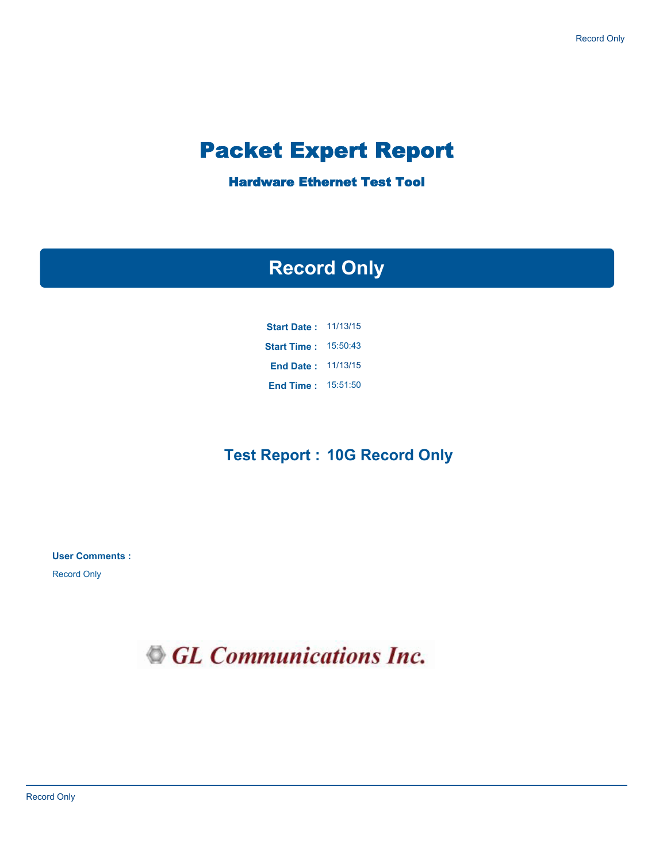# Packet Expert Report

Hardware Ethernet Test Tool

# **Record Only**

| <b>Start Date:</b> | 11/13/15 |
|--------------------|----------|
| <b>Start Time:</b> | 15:50:43 |
| <b>End Date:</b>   | 11/13/15 |
| <b>End Time:</b>   | 15:51:50 |

### **Test Report : 10G Record Only**

**User Comments :**

Record Only

GL Communications Inc.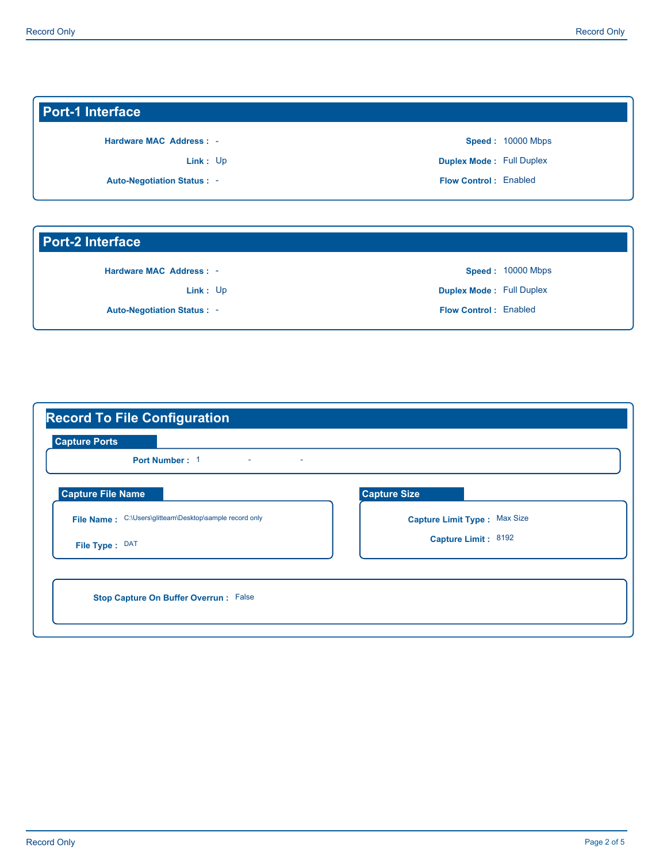### **Port-1 Interface**

**Hardware MAC Address :** -

Link: Up

**Auto-Negotiation Status :** -

**Flow Control :** Enabled **Duplex Mode :** Full Duplex **Speed :**  10000 Mbps

#### **Port-2 Interface**

**Hardware MAC Address :** -

Link: Up

**Auto-Negotiation Status :** -

**Flow Control :** Enabled **Duplex Mode :** Full Duplex **Speed :**  10000 Mbps

| <b>Capture Ports</b><br>Port Number: 1<br>$\sim$<br>$\sim$ |                              |
|------------------------------------------------------------|------------------------------|
| <b>Capture File Name</b>                                   | <b>Capture Size</b>          |
| File Name: C:\Users\glitteam\Desktop\sample record only    | Capture Limit Type: Max Size |
| File Type: DAT                                             | Capture Limit: 8192          |
|                                                            |                              |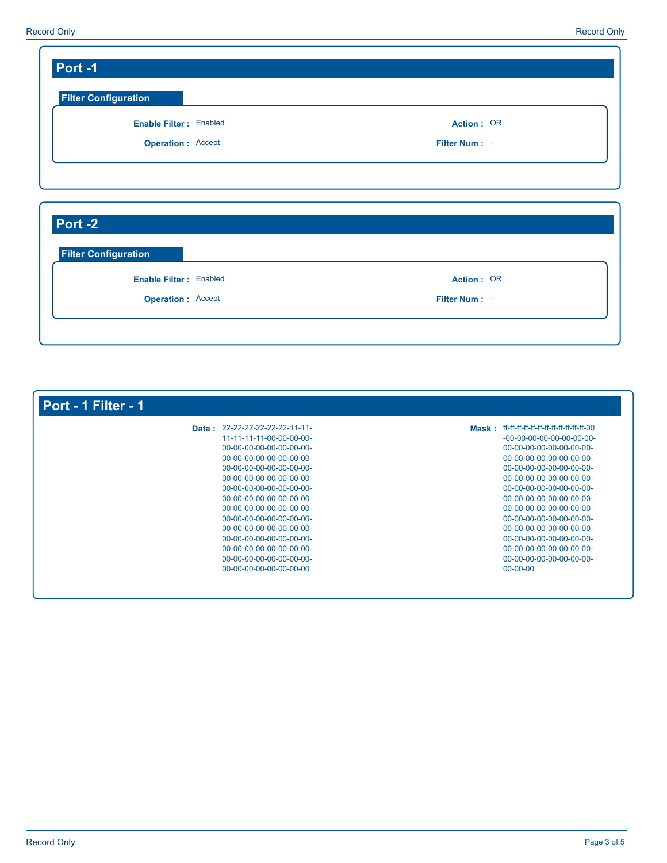| <b>Enable Filter: Enabled</b><br><b>Operation: Accept</b> | Action: OR<br>Filter Num: - |
|-----------------------------------------------------------|-----------------------------|
|                                                           |                             |
|                                                           |                             |
| Port -2                                                   |                             |

**Operation :** Accept

| Data: 22-22-22-22-22-22-11-11- |                             |
|--------------------------------|-----------------------------|
| 11-11-11-11-00-00-00-00-       | $-00-00-00-00-00-00-00-00-$ |
| 00-00-00-00-00-00-00-00-       | 00-00-00-00-00-00-00-00-    |
| 00-00-00-00-00-00-00-00-       | 00-00-00-00-00-00-00-00-    |
| 00-00-00-00-00-00-00-00-       | 00-00-00-00-00-00-00-00-    |
| 00-00-00-00-00-00-00-00-       | 00-00-00-00-00-00-00-00-    |
| 00-00-00-00-00-00-00-00-       | 00-00-00-00-00-00-00-00-    |
| 00-00-00-00-00-00-00-00-       | 00-00-00-00-00-00-00-00-    |
| 00-00-00-00-00-00-00-00-       | 00-00-00-00-00-00-00-00-    |
| 00-00-00-00-00-00-00-00-       | 00-00-00-00-00-00-00-00-    |
| 00-00-00-00-00-00-00-00-       | 00-00-00-00-00-00-00-00-    |
| 00-00-00-00-00-00-00-00-       | 00-00-00-00-00-00-00-00-    |
| 00-00-00-00-00-00-00-00-       | 00-00-00-00-00-00-00-00-    |
| 00-00-00-00-00-00-00-00-       | 00-00-00-00-00-00-00-00-    |
| 00-00-00-00-00-00-00-00        | $00 - 00 - 00$              |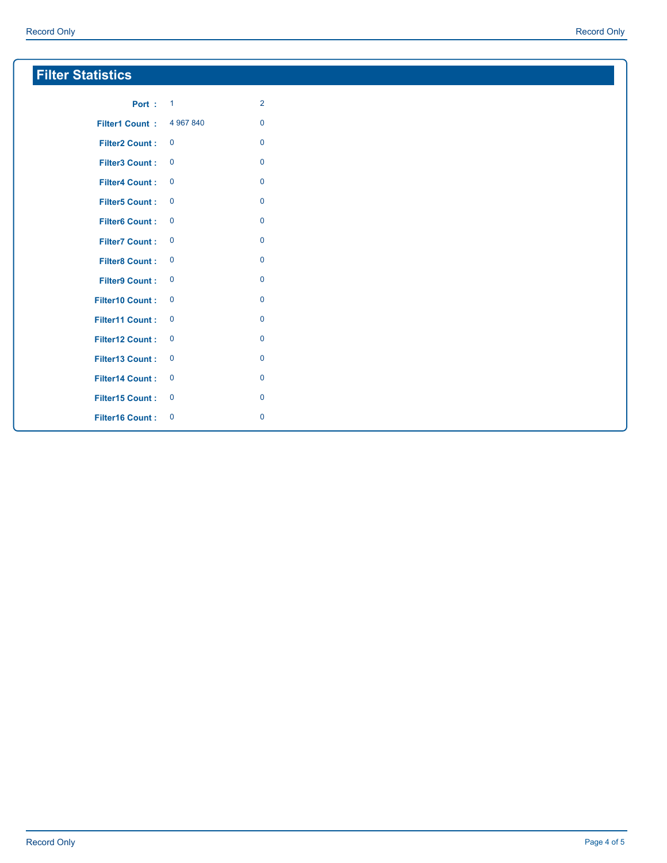| <b>Filter Statistics</b> |                         |                |  |
|--------------------------|-------------------------|----------------|--|
| <b>Port: 1</b>           |                         | $\overline{2}$ |  |
| <b>Filter1 Count:</b>    | 4 967 840               | $\mathbf 0$    |  |
| <b>Filter2 Count:</b>    | $\mathbf 0$             | $\mathbf 0$    |  |
| <b>Filter3 Count:</b>    | $\mathbf 0$             | $\mathbf 0$    |  |
| <b>Filter4 Count:</b>    | $\overline{\mathbf{0}}$ | $\mathbf 0$    |  |
| <b>Filter5 Count:</b>    | $\overline{\mathbf{0}}$ | $\mathbf 0$    |  |
| <b>Filter6 Count:</b>    | $\mathbf 0$             | $\mathbf 0$    |  |
| <b>Filter7 Count:</b>    | $\mathbf 0$             | $\mathbf 0$    |  |
| <b>Filter8 Count:</b>    | $\mathbf 0$             | $\mathbf 0$    |  |
| <b>Filter9 Count:</b>    | $\mathbf 0$             | $\mathbf 0$    |  |
| <b>Filter10 Count:</b>   | $\mathbf 0$             | $\mathbf 0$    |  |
| <b>Filter11 Count:</b>   | $\overline{\mathbf{0}}$ | $\mathbf 0$    |  |
| Filter12 Count:          | $\mathbf 0$             | $\mathbf 0$    |  |
| Filter13 Count:          | $\mathbf 0$             | $\mathbf 0$    |  |
| <b>Filter14 Count:</b>   | $\mathbf 0$             | $\mathbf 0$    |  |
| <b>Filter15 Count:</b>   | $\mathbf 0$             | $\mathbf 0$    |  |
| <b>Filter16 Count:</b>   | $\mathbf 0$             | $\mathbf 0$    |  |